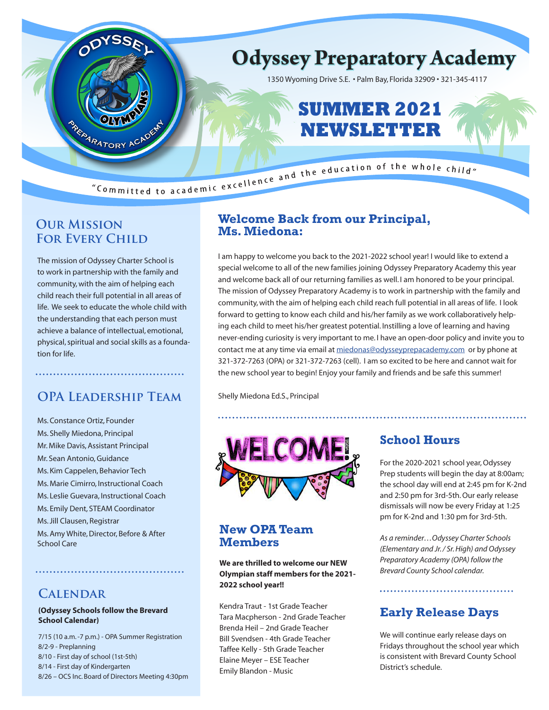

### **Our Mission FOR EVERY CHILD**

The mission of Odyssey Charter School is to work in partnership with the family and community, with the aim of helping each child reach their full potential in all areas of life. We seek to educate the whole child with the understanding that each person must achieve a balance of intellectual, emotional, physical, spiritual and social skills as a foundation for life.

# **OPA Leadership Team**

Ms. Constance Ortiz, Founder Ms. Shelly Miedona, Principal Mr. Mike Davis, Assistant Principal Mr. Sean Antonio, Guidance Ms. Kim Cappelen, Behavior Tech Ms. Marie Cimirro, Instructional Coach Ms. Leslie Guevara, Instructional Coach Ms. Emily Dent, STEAM Coordinator Ms. Jill Clausen, Registrar Ms. Amy White, Director, Before & After School Care

### **Calendar**

#### **(Odyssey Schools follow the Brevard School Calendar)**

7/15 (10 a.m. -7 p.m.) - OPA Summer Registration 8/2-9 - Preplanning 8/10 - First day of school (1st-5th) 8/14 - First day of Kindergarten 8/26 – OCS Inc. Board of Directors Meeting 4:30pm

### **Welcome Back from our Principal, Ms. Miedona:**

I am happy to welcome you back to the 2021-2022 school year! I would like to extend a special welcome to all of the new families joining Odyssey Preparatory Academy this year and welcome back all of our returning families as well. I am honored to be your principal. The mission of Odyssey Preparatory Academy is to work in partnership with the family and community, with the aim of helping each child reach full potential in all areas of life. I look forward to getting to know each child and his/her family as we work collaboratively helping each child to meet his/her greatest potential. Instilling a love of learning and having never-ending curiosity is very important to me. I have an open-door policy and invite you to contact me at any time via email at miedonas@odysseyprepacademy.com or by phone at 321-372-7263 (OPA) or 321-372-7263 (cell). I am so excited to be here and cannot wait for the new school year to begin! Enjoy your family and friends and be safe this summer!

Shelly Miedona Ed.S., Principal



### **New OPA Team Members**

**We are thrilled to welcome our NEW Olympian staff members for the 2021- 2022 school year!!**

Kendra Traut - 1st Grade Teacher Tara Macpherson - 2nd Grade Teacher Brenda Heil – 2nd Grade Teacher Bill Svendsen - 4th Grade Teacher Taffee Kelly - 5th Grade Teacher Elaine Meyer – ESE Teacher Emily Blandon - Music

## **School Hours**

For the 2020-2021 school year, Odyssey Prep students will begin the day at 8:00am; the school day will end at 2:45 pm for K-2nd and 2:50 pm for 3rd-5th. Our early release dismissals will now be every Friday at 1:25 pm for K-2nd and 1:30 pm for 3rd-5th.

*As a reminder…Odyssey Charter Schools (Elementary and Jr. / Sr. High) and Odyssey Preparatory Academy (OPA) follow the Brevard County School calendar.*

# **Early Release Days**

We will continue early release days on Fridays throughout the school year which is consistent with Brevard County School District's schedule.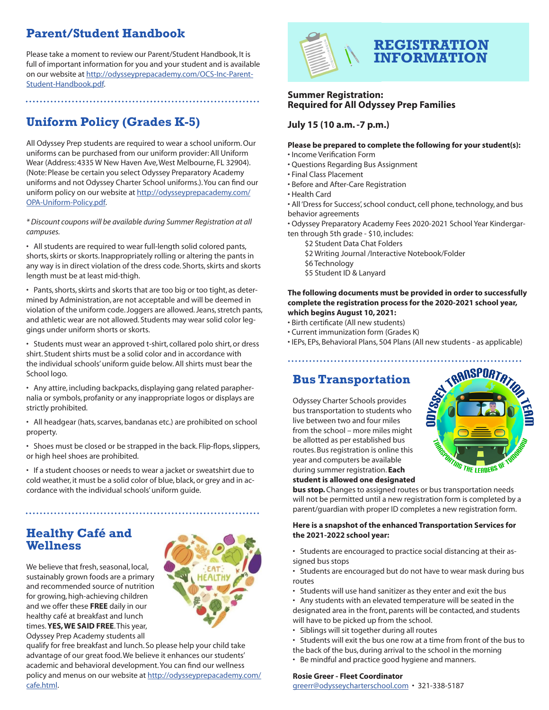# **Parent/Student Handbook**

Please take a moment to review our Parent/Student Handbook, It is full of important information for you and your student and is available on our website at http://odysseyprepacademy.com/OCS-Inc-Parent-Student-Handbook.pdf.

# **Uniform Policy (Grades K-5)**

All Odyssey Prep students are required to wear a school uniform. Our uniforms can be purchased from our uniform provider: All Uniform Wear (Address: 4335 W New Haven Ave, West Melbourne, FL 32904). (Note: Please be certain you select Odyssey Preparatory Academy uniforms and not Odyssey Charter School uniforms.). You can find our uniform policy on our website at http://odysseyprepacademy.com/ OPA-Uniform-Policy.pdf.

*\* Discount coupons will be available during Summer Registration at all campuses.*

• All students are required to wear full-length solid colored pants, shorts, skirts or skorts. Inappropriately rolling or altering the pants in any way is in direct violation of the dress code. Shorts, skirts and skorts length must be at least mid-thigh.

• Pants, shorts, skirts and skorts that are too big or too tight, as determined by Administration, are not acceptable and will be deemed in violation of the uniform code. Joggers are allowed. Jeans, stretch pants, and athletic wear are not allowed. Students may wear solid color leggings under uniform shorts or skorts.

• Students must wear an approved t-shirt, collared polo shirt, or dress shirt. Student shirts must be a solid color and in accordance with the individual schools' uniform guide below. All shirts must bear the School logo.

• Any attire, including backpacks, displaying gang related paraphernalia or symbols, profanity or any inappropriate logos or displays are strictly prohibited.

• All headgear (hats, scarves, bandanas etc.) are prohibited on school property.

• Shoes must be closed or be strapped in the back. Flip-flops, slippers, or high heel shoes are prohibited.

• If a student chooses or needs to wear a jacket or sweatshirt due to cold weather, it must be a solid color of blue, black, or grey and in accordance with the individual schools' uniform guide.

### **Healthy Café and Wellness**

We believe that fresh, seasonal, local, sustainably grown foods are a primary and recommended source of nutrition for growing, high-achieving children and we offer these **FREE** daily in our healthy café at breakfast and lunch times. **YES, WE SAID FREE**. This year, Odyssey Prep Academy students all



qualify for free breakfast and lunch. So please help your child take advantage of our great food. We believe it enhances our students' academic and behavioral development. You can find our wellness policy and menus on our website at http://odysseyprepacademy.com/ cafe.html.



#### **Summer Registration: Required for All Odyssey Prep Families**

#### **July 15 (10 a.m. -7 p.m.)**

#### **Please be prepared to complete the following for your student(s):**

- Income Verification Form
- Questions Regarding Bus Assignment
- Final Class Placement
- Before and After-Care Registration
- Health Card

• All 'Dress for Success', school conduct, cell phone, technology, and bus behavior agreements

• Odyssey Preparatory Academy Fees 2020-2021 School Year Kindergarten through 5th grade - \$10, includes:

- \$2 Student Data Chat Folders
- \$2 Writing Journal /Interactive Notebook/Folder
- \$6 Technology
- \$5 Student ID & Lanyard

**The following documents must be provided in order to successfully complete the registration process for the 2020-2021 school year, which begins August 10, 2021:**

- Birth certificate (All new students)
- Current immunization form (Grades K)

• IEPs, EPs, Behavioral Plans, 504 Plans (All new students - as applicable)

### **Bus Transportation**

Odyssey Charter Schools provides bus transportation to students who live between two and four miles from the school – more miles might be allotted as per established bus routes. Bus registration is online this year and computers be available during summer registration. **Each student is allowed one designated** 



**bus stop.** Changes to assigned routes or bus transportation needs will not be permitted until a new registration form is completed by a parent/guardian with proper ID completes a new registration form.

#### **Here is a snapshot of the enhanced Transportation Services for the 2021-2022 school year:**

• Students are encouraged to practice social distancing at their assigned bus stops

• Students are encouraged but do not have to wear mask during bus routes

- Students will use hand sanitizer as they enter and exit the bus
- Any students with an elevated temperature will be seated in the designated area in the front, parents will be contacted, and students will have to be picked up from the school.
- Siblings will sit together during all routes
- Students will exit the bus one row at a time from front of the bus to the back of the bus, during arrival to the school in the morning
- Be mindful and practice good hygiene and manners.

#### **Rosie Greer - Fleet Coordinator**

greerr@odysseycharterschool.com • 321-338-5187